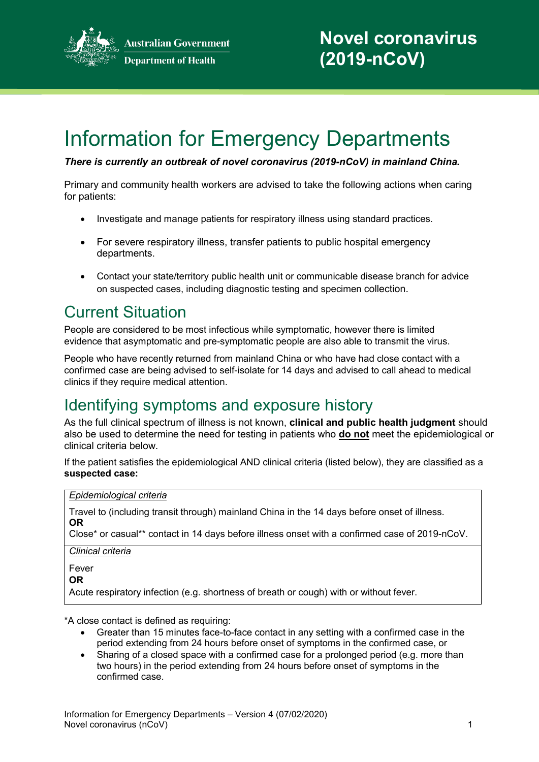

# Information for Emergency Departments

*There is currently an outbreak of novel coronavirus (2019-nCoV) in mainland China.*

Primary and community health workers are advised to take the following actions when caring for patients:

- Investigate and manage patients for respiratory illness using standard practices.
- For severe respiratory illness, transfer patients to public hospital emergency departments.
- Contact your state/territory public health unit or communicable disease branch for advice on suspected cases, including diagnostic testing and specimen collection.

### Current Situation

People are considered to be most infectious while symptomatic, however there is limited evidence that asymptomatic and pre-symptomatic people are also able to transmit the virus.

People who have recently returned from mainland China or who have had close contact with a confirmed case are being advised to self-isolate for 14 days and advised to call ahead to medical clinics if they require medical attention.

# Identifying symptoms and exposure history

As the full clinical spectrum of illness is not known, **clinical and public health judgment** should also be used to determine the need for testing in patients who **do not** meet the epidemiological or clinical criteria below.

If the patient satisfies the epidemiological AND clinical criteria (listed below), they are classified as a **suspected case:**

### *Epidemiological criteria*

Travel to (including transit through) mainland China in the 14 days before onset of illness. **OR**

Close\* or casual\*\* contact in 14 days before illness onset with a confirmed case of 2019-nCoV.

*Clinical criteria*

Fever

**OR**

Acute respiratory infection (e.g. shortness of breath or cough) with or without fever.

\*A close contact is defined as requiring:

- Greater than 15 minutes face-to-face contact in any setting with a confirmed case in the period extending from 24 hours before onset of symptoms in the confirmed case, or
- Sharing of a closed space with a confirmed case for a prolonged period (e.g. more than two hours) in the period extending from 24 hours before onset of symptoms in the confirmed case.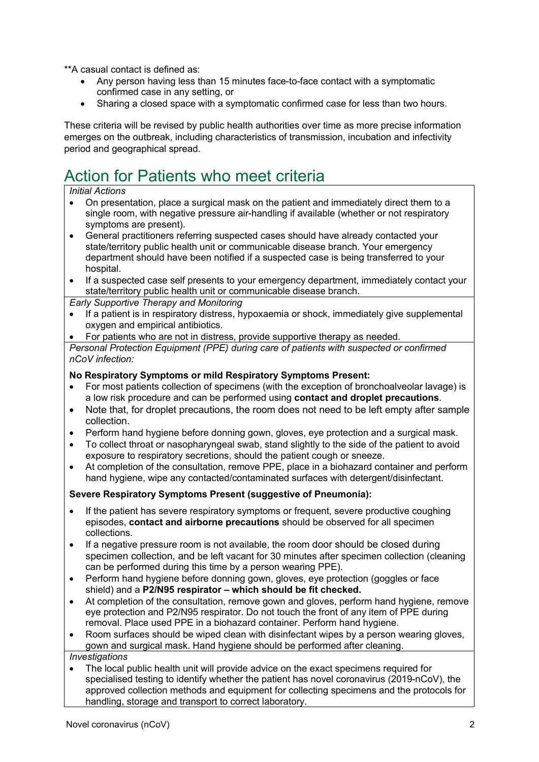\*\*A casual contact is defined as:

- Any person having less than 15 minutes face-to-face contact with a symptomatic confirmed case in any setting, or
- Sharing a closed space with a symptomatic confirmed case for less than two hours.

These criteria will be revised by public health authorities over time as more precise information emerges on the outbreak, including characteristics of transmission, incubation and infectivity period and geographical spread.

# Action for Patients who meet criteria

#### *Initial Actions*

- On presentation, place a surgical mask on the patient and immediately direct them to a single room, with negative pressure air-handling if available (whether or not respiratory symptoms are present).
- General practitioners referring suspected cases should have already contacted your state/territory public health unit or communicable disease branch. Your emergency department should have been notified if a suspected case is being transferred to your hospital.
- If a suspected case self presents to your emergency department, immediately contact your state/territory public health unit or communicable disease branch.

*Early Supportive Therapy and Monitoring*

- If a patient is in respiratory distress, hypoxaemia or shock, immediately give supplemental oxygen and empirical antibiotics.
- For patients who are not in distress, provide supportive therapy as needed.

*Personal Protection Equipment (PPE) during care of patients with suspected or confirmed nCoV infection:*

#### **No Respiratory Symptoms or mild Respiratory Symptoms Present:**

- For most patients collection of specimens (with the exception of bronchoalveolar lavage) is a low risk procedure and can be performed using **contact and droplet precautions**.
- Note that, for droplet precautions, the room does not need to be left empty after sample collection.
- Perform hand hygiene before donning gown, gloves, eye protection and a surgical mask.
- To collect throat or nasopharyngeal swab, stand slightly to the side of the patient to avoid exposure to respiratory secretions, should the patient cough or sneeze.
- At completion of the consultation, remove PPE, place in a biohazard container and perform hand hygiene, wipe any contacted/contaminated surfaces with detergent/disinfectant.

### **Severe Respiratory Symptoms Present (suggestive of Pneumonia):**

- If the patient has severe respiratory symptoms or frequent, severe productive coughing episodes, **contact and airborne precautions** should be observed for all specimen collections.
- If a negative pressure room is not available, the room door should be closed during specimen collection, and be left vacant for 30 minutes after specimen collection (cleaning can be performed during this time by a person wearing PPE).
- Perform hand hygiene before donning gown, gloves, eye protection (goggles or face shield) and a **P2/N95 respirator – which should be fit checked.**
- At completion of the consultation, remove gown and gloves, perform hand hygiene, remove eye protection and P2/N95 respirator. Do not touch the front of any item of PPE during removal. Place used PPE in a biohazard container. Perform hand hygiene.
- Room surfaces should be wiped clean with disinfectant wipes by a person wearing gloves, gown and surgical mask. Hand hygiene should be performed after cleaning.

*Investigations*

• The local public health unit will provide advice on the exact specimens required for specialised testing to identify whether the patient has novel coronavirus (2019-nCoV), the approved collection methods and equipment for collecting specimens and the protocols for handling, storage and transport to correct laboratory.